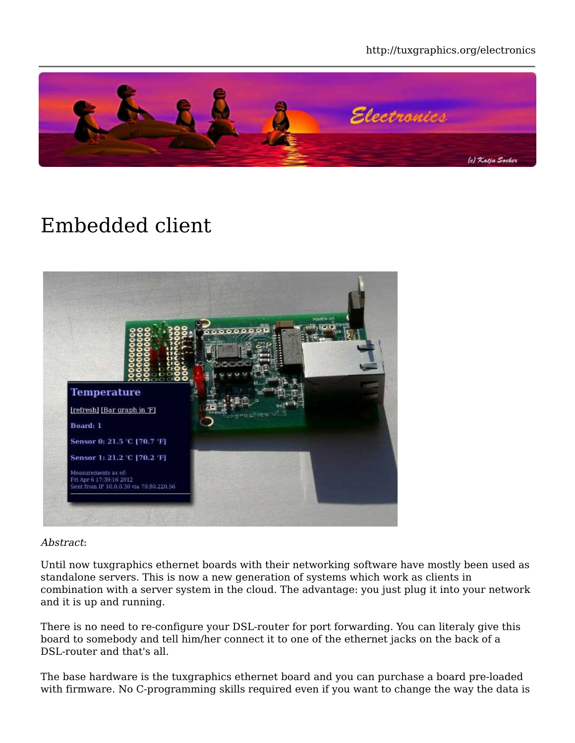http://tuxgraphics.org/electronics



## Embedded client



#### Abstract:

Until now tuxgraphics ethernet boards with their networking software have mostly been used as standalone servers. This is now a new generation of systems which work as clients in combination with a server system in the cloud. The advantage: you just plug it into your network and it is up and running.

There is no need to re-configure your DSL-router for port forwarding. You can literaly give this board to somebody and tell him/her connect it to one of the ethernet jacks on the back of a DSL-router and that's all.

The base hardware is the tuxgraphics ethernet board and you can purchase a board pre-loaded with firmware. No C-programming skills required even if you want to change the way the data is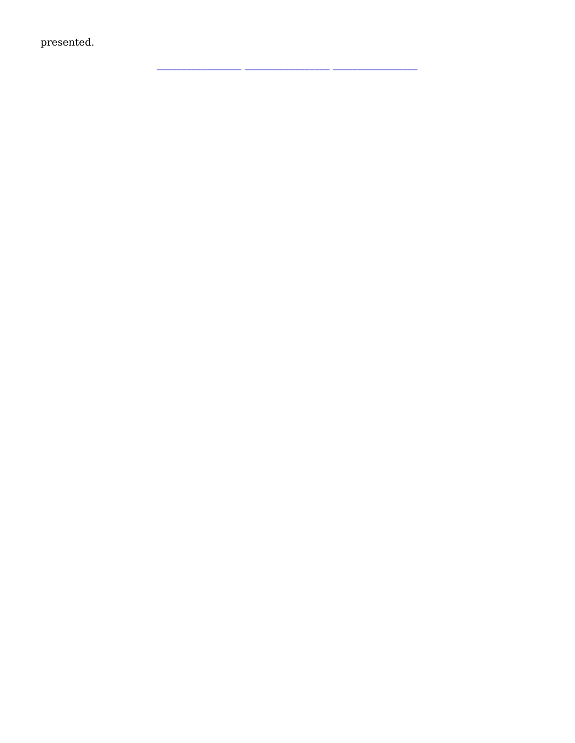presented.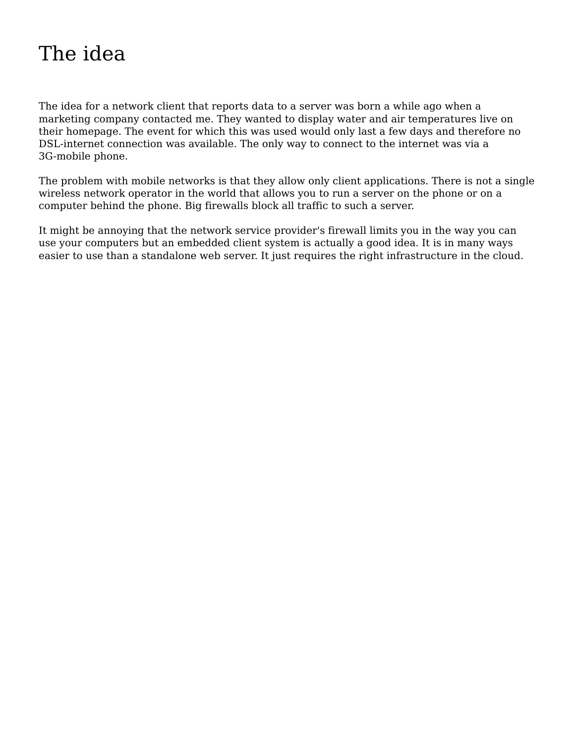## The idea

The idea for a network client that reports data to a server was born a while ago when a marketing company contacted me. They wanted to display water and air temperatures live on their homepage. The event for which this was used would only last a few days and therefore no DSL-internet connection was available. The only way to connect to the internet was via a 3G-mobile phone.

The problem with mobile networks is that they allow only client applications. There is not a single wireless network operator in the world that allows you to run a server on the phone or on a computer behind the phone. Big firewalls block all traffic to such a server.

It might be annoying that the network service provider's firewall limits you in the way you can use your computers but an embedded client system is actually a good idea. It is in many ways easier to use than a standalone web server. It just requires the right infrastructure in the cloud.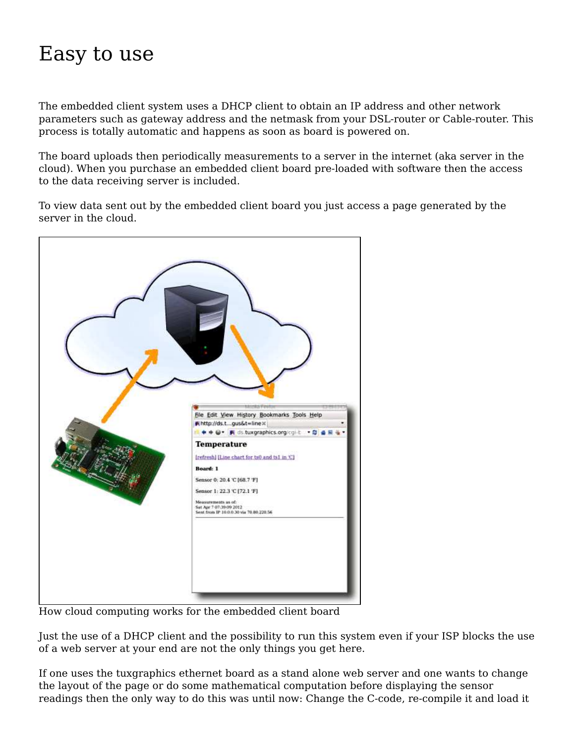## Easy to use

The embedded client system uses a DHCP client to obtain an IP address and other network parameters such as gateway address and the netmask from your DSL-router or Cable-router. This process is totally automatic and happens as soon as board is powered on.

The board uploads then periodically measurements to a server in the internet (aka server in the cloud). When you purchase an embedded client board pre-loaded with software then the access to the data receiving server is included.

To view data sent out by the embedded client board you just access a page generated by the server in the cloud.



How cloud computing works for the embedded client board

Just the use of a DHCP client and the possibility to run this system even if your ISP blocks the use of a web server at your end are not the only things you get here.

If one uses the tuxgraphics ethernet board as a stand alone web server and one wants to change the layout of the page or do some mathematical computation before displaying the sensor readings then the only way to do this was until now: Change the C-code, re-compile it and load it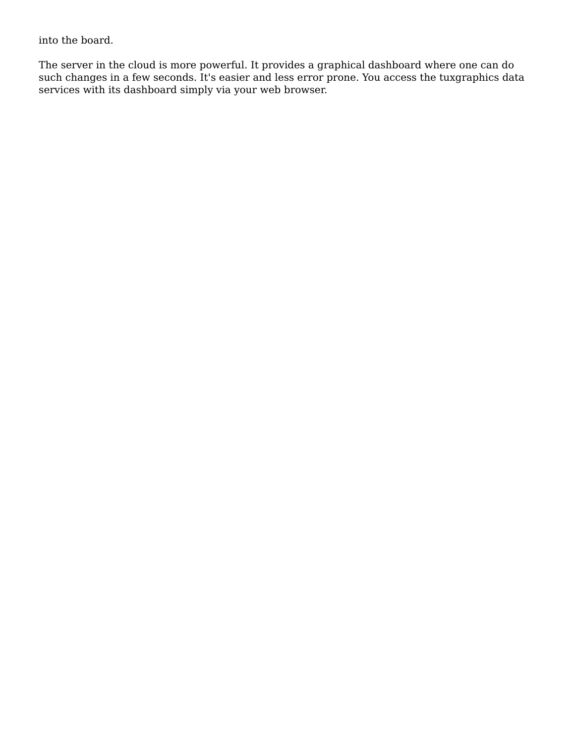into the board.

The server in the cloud is more powerful. It provides a graphical dashboard where one can do such changes in a few seconds. It's easier and less error prone. You access the tuxgraphics data services with its dashboard simply via your web browser.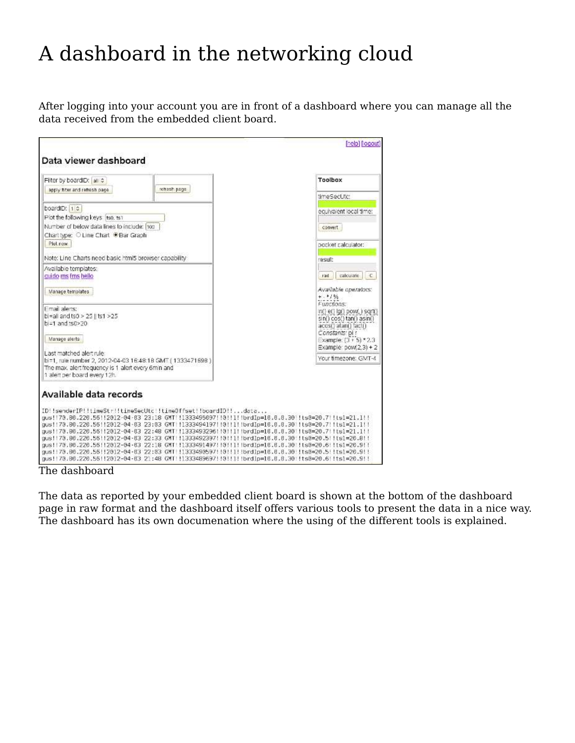## A dashboard in the networking cloud

After logging into your account you are in front of a dashboard where you can manage all the data received from the embedded client board.

| Fliter by boardID: all $\circ$                                                                                                                                                                                                                                                                           | Toolbox                                                                                              |
|----------------------------------------------------------------------------------------------------------------------------------------------------------------------------------------------------------------------------------------------------------------------------------------------------------|------------------------------------------------------------------------------------------------------|
| refresh page<br>apply fiter and refresh page.                                                                                                                                                                                                                                                            | time Secure:                                                                                         |
| boardiD: 1 c<br>Plot the following keys itso, ts1                                                                                                                                                                                                                                                        | equivaient jocal time:                                                                               |
| Number of below data lines to include: hop<br>Chart type: O Line Chart @ Bar Graph<br>Plet now                                                                                                                                                                                                           | convert                                                                                              |
| Note: Line Charts need basic html5 browser capability                                                                                                                                                                                                                                                    | bocket calculator:<br>duzer                                                                          |
| Available templates:<br>cuido ms fms hello                                                                                                                                                                                                                                                               | ċ.<br>rad<br>calculate                                                                               |
| Manage templates                                                                                                                                                                                                                                                                                         | Available operators:<br>$+1.41%$                                                                     |
| Email alerts:<br>bi=ali and ts0 > 25   ts1 >25<br>bi=1 and ts0>20                                                                                                                                                                                                                                        | Functions:<br>$\ln()$ e() $\lg()$ pow(,) sqrt()<br>sin() cos() tan() asin()<br>acos() atan() fact(). |
| Manage alerts                                                                                                                                                                                                                                                                                            | Constants: pi r<br>Example: $(3 + 5) * 2.3$<br>Example: $pow(2,3) + 2$                               |
| Last matched alert rule:<br>bi=1, rule number 2, 2012-04-03 16:48:18 GMT (1333471698)<br>The max, alert frequency is 1 alert every 6min and<br>1 alert per board every 12h.                                                                                                                              | Your timezone: GMT-4                                                                                 |
| Available data records                                                                                                                                                                                                                                                                                   |                                                                                                      |
| ID!!senderIP!!timeStr!!timeSecUtc!!timeOffset!!boardID!!data                                                                                                                                                                                                                                             |                                                                                                      |
| gus!!79.80.220.56!!2012-04-03 23:18 GMT!!1333495097!!0!!!!!brdIp=10.0.0.30!!ts0=20.7!!ts1=21.1!!<br>gus!!79.80.220.55!!2012-04-63 23:83 GMT!!1333494197!!0!!1!!brdIp=16.6.8.30!!ts8=20.7!!ts1=21.1!!<br>aus!!79.80.220.55!!2012-04-83 22:48 GMT!!1333493296!!0!!!!!brdIp=18.8.8.30!!ts8=20.7!!ts1=21.1!! |                                                                                                      |

The dashboard

The data as reported by your embedded client board is shown at the bottom of the dashboard page in raw format and the dashboard itself offers various tools to present the data in a nice way. The dashboard has its own documenation where the using of the different tools is explained.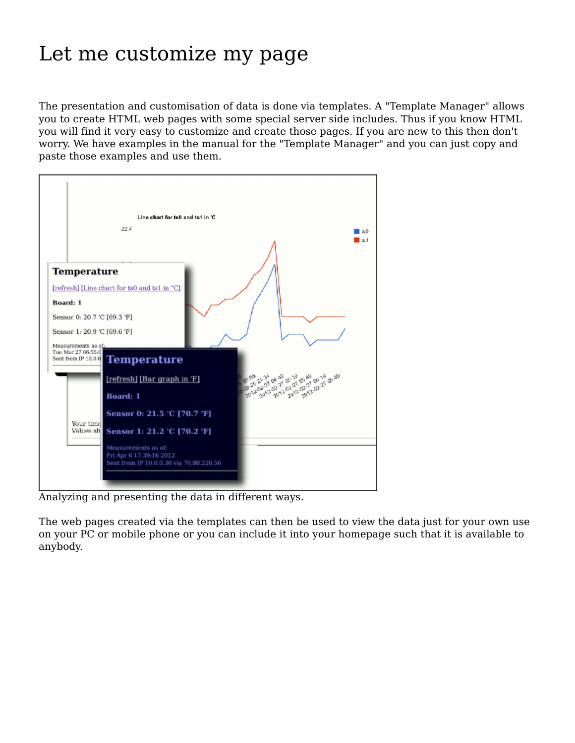### Let me customize my page

The presentation and customisation of data is done via templates. A "Template Manager" allows you to create HTML web pages with some special server side includes. Thus if you know HTML you will find it very easy to customize and create those pages. If you are new to this then don't worry. We have examples in the manual for the "Template Manager" and you can just copy and paste those examples and use them.



Analyzing and presenting the data in different ways.

The web pages created via the templates can then be used to view the data just for your own use on your PC or mobile phone or you can include it into your homepage such that it is available to anybody.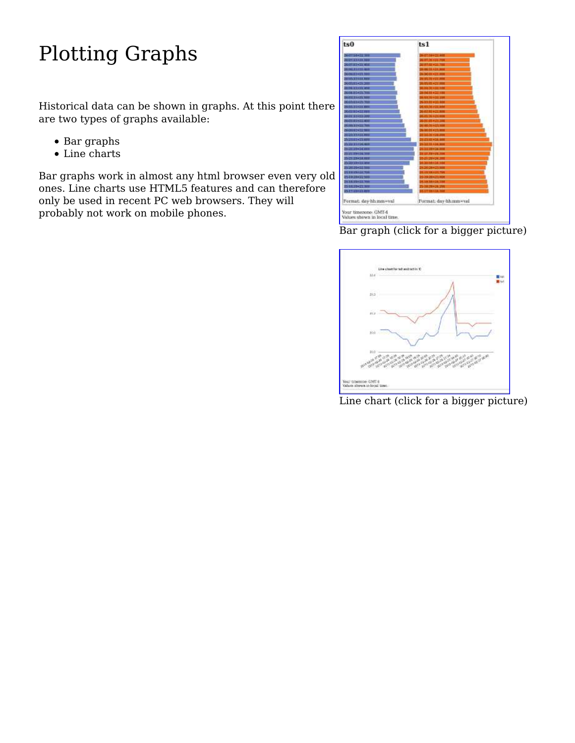# Plotting Graphs

Historical data can be shown in graphs. At this point there are two types of graphs available:

- Bar graphs
- Line charts

Bar graphs work in almost any html browser even very old ones. Line charts use HTML5 features and can therefore only be used in recent PC web browsers. They will probably not work on mobile phones.



Bar graph (click for a bigger picture)



Line chart (click for a bigger picture)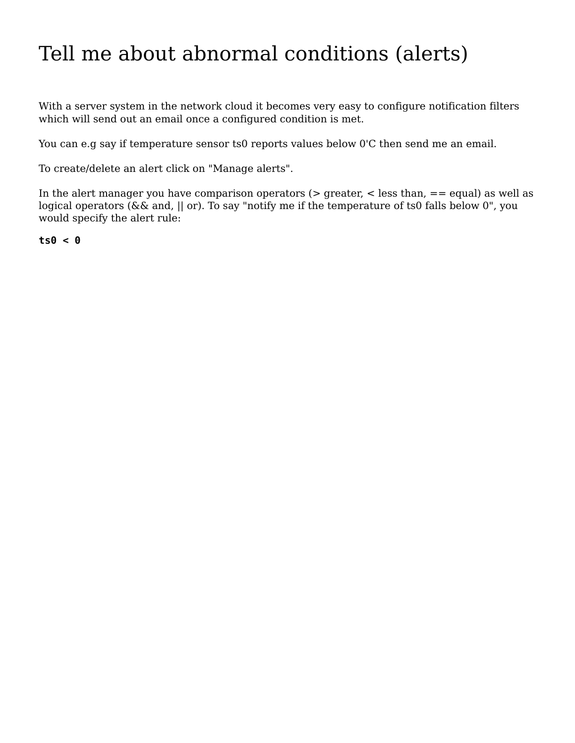## Tell me about abnormal conditions (alerts)

With a server system in the network cloud it becomes very easy to configure notification filters which will send out an email once a configured condition is met.

You can e.g say if temperature sensor ts0 reports values below 0'C then send me an email.

To create/delete an alert click on "Manage alerts".

In the alert manager you have comparison operators ( $>$  greater,  $<$  less than,  $==$  equal) as well as logical operators (&& and, || or). To say "notify me if the temperature of ts0 falls below 0", you would specify the alert rule:

**ts0 < 0**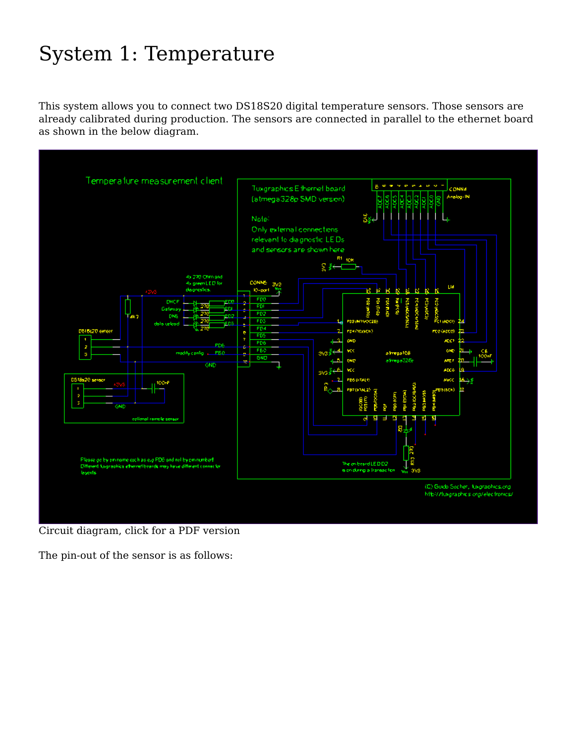## System 1: Temperature

This system allows you to connect two DS18S20 digital temperature sensors. Those sensors are already calibrated during production. The sensors are connected in parallel to the ethernet board as shown in the below diagram.



Circuit diagram, click for a PDF version

The pin-out of the sensor is as follows: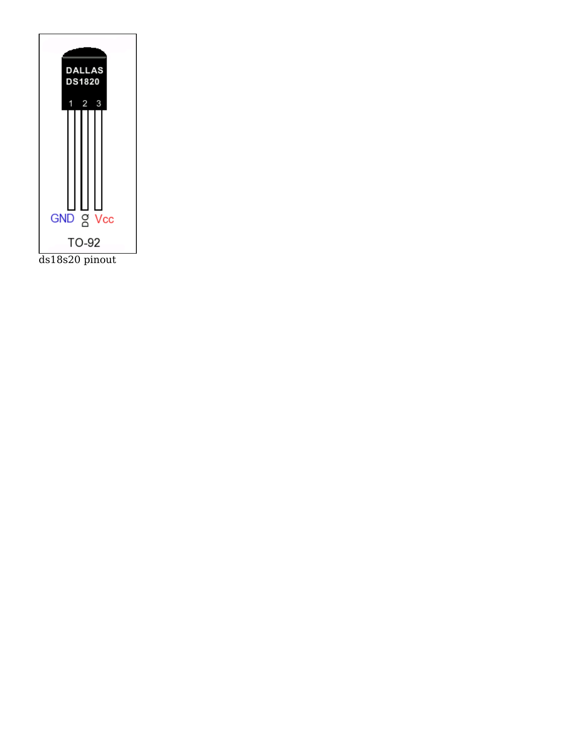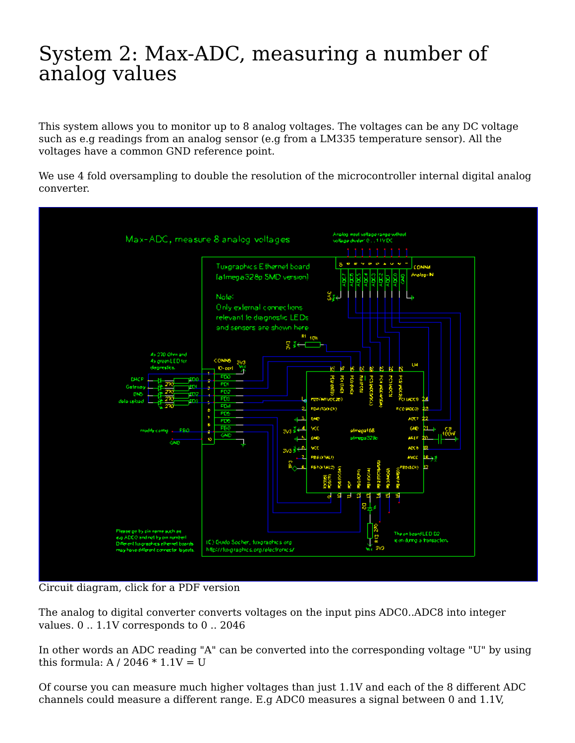#### System 2: Max-ADC, measuring a number of analog values

This system allows you to monitor up to 8 analog voltages. The voltages can be any DC voltage such as e.g readings from an analog sensor (e.g from a LM335 temperature sensor). All the voltages have a common GND reference point.

We use 4 fold oversampling to double the resolution of the microcontroller internal digital analog converter.



Circuit diagram, click for a PDF version

The analog to digital converter converts voltages on the input pins ADC0..ADC8 into integer values. 0 .. 1.1V corresponds to 0 .. 2046

In other words an ADC reading "A" can be converted into the corresponding voltage "U" by using this formula:  $A / 2046 * 1.1V = U$ 

Of course you can measure much higher voltages than just 1.1V and each of the 8 different ADC channels could measure a different range. E.g ADC0 measures a signal between 0 and 1.1V,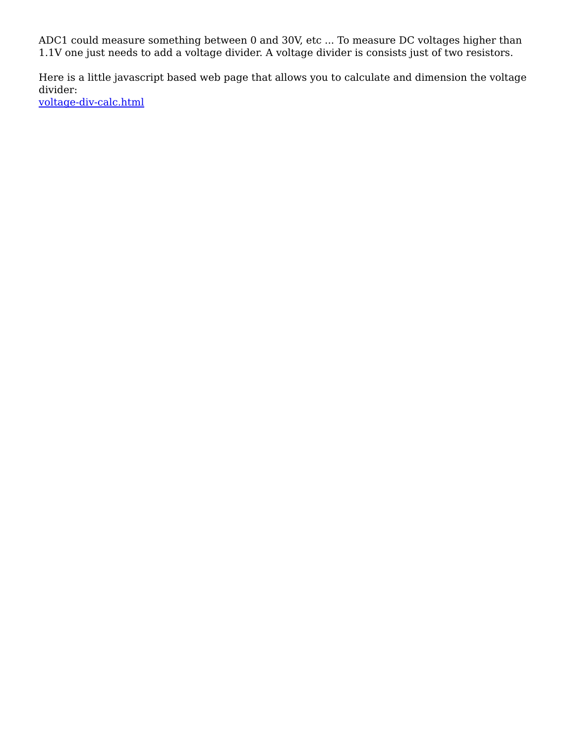ADC1 could measure something between 0 and 30V, etc ... To measure DC voltages higher than 1.1V one just needs to add a voltage divider. A voltage divider is consists just of two resistors.

Here is a little javascript based web page that allows you to calculate and dimension the voltage divider: voltage-div-calc.html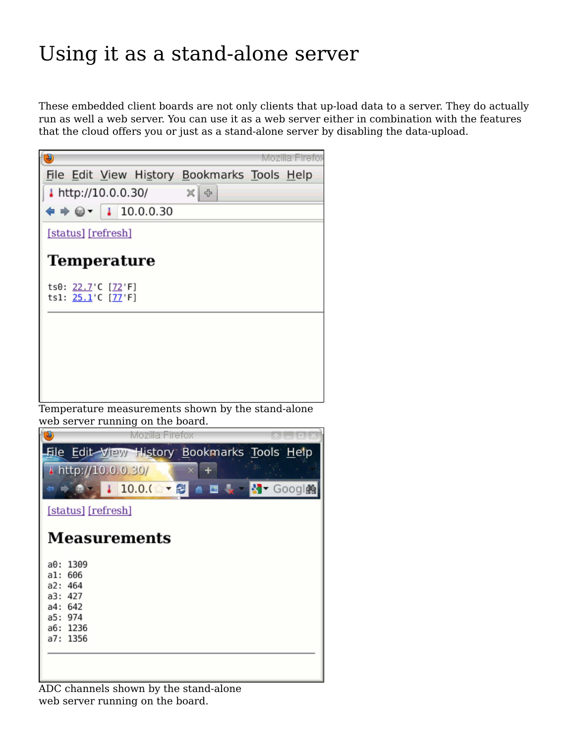## Using it as a stand-alone server

These embedded client boards are not only clients that up-load data to a server. They do actually run as well a web server. You can use it as a web server either in combination with the features that the cloud offers you or just as a stand-alone server by disabling the data-upload.



web server running on the board.



ADC channels shown by the stand-alone web server running on the board.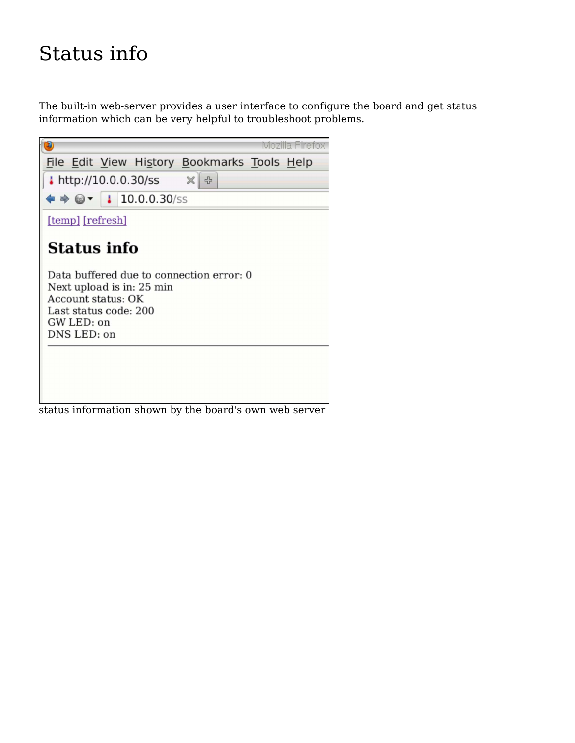## Status info

The built-in web-server provides a user interface to configure the board and get status information which can be very helpful to troubleshoot problems.



status information shown by the board's own web server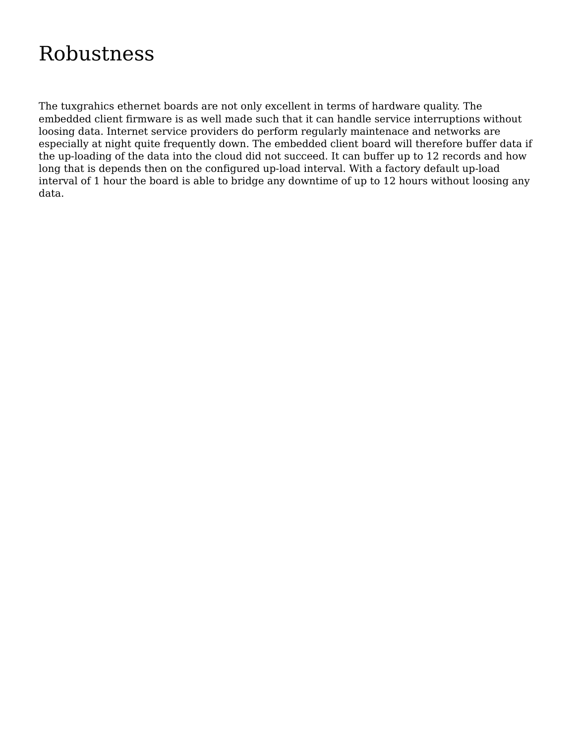## Robustness

The tuxgrahics ethernet boards are not only excellent in terms of hardware quality. The embedded client firmware is as well made such that it can handle service interruptions without loosing data. Internet service providers do perform regularly maintenace and networks are especially at night quite frequently down. The embedded client board will therefore buffer data if the up-loading of the data into the cloud did not succeed. It can buffer up to 12 records and how long that is depends then on the configured up-load interval. With a factory default up-load interval of 1 hour the board is able to bridge any downtime of up to 12 hours without loosing any data.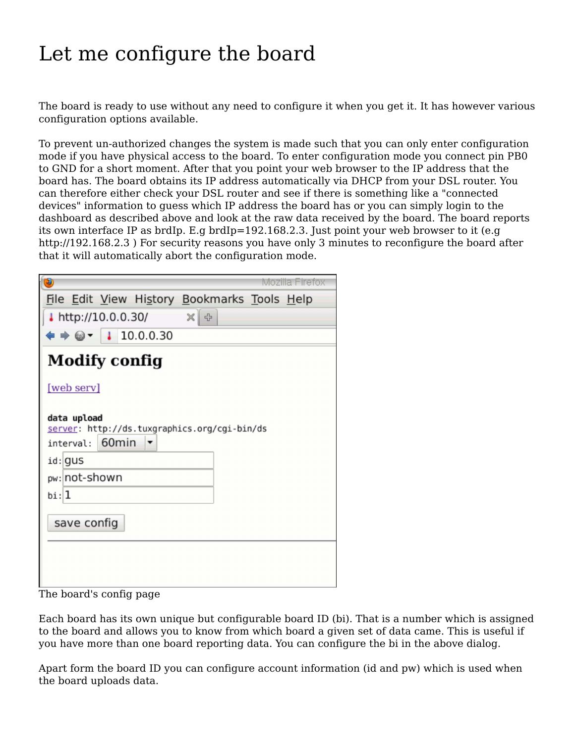## Let me configure the board

The board is ready to use without any need to configure it when you get it. It has however various configuration options available.

To prevent un-authorized changes the system is made such that you can only enter configuration mode if you have physical access to the board. To enter configuration mode you connect pin PB0 to GND for a short moment. After that you point your web browser to the IP address that the board has. The board obtains its IP address automatically via DHCP from your DSL router. You can therefore either check your DSL router and see if there is something like a "connected devices" information to guess which IP address the board has or you can simply login to the dashboard as described above and look at the raw data received by the board. The board reports its own interface IP as brdIp. E.g brdIp=192.168.2.3. Just point your web browser to it (e.g http://192.168.2.3 ) For security reasons you have only 3 minutes to reconfigure the board after that it will automatically abort the configuration mode.

|                                                                                | Mozilla Firefox |  |
|--------------------------------------------------------------------------------|-----------------|--|
| File Edit View History Bookmarks Tools Help                                    |                 |  |
| $\mathbb{X}$ $\rightarrow$<br>http://10.0.0.30/                                |                 |  |
| $\bullet \bullet \textcircled{\texttt{3}}$ $\bullet$   1 10.0.0.30             |                 |  |
| <b>Modify config</b>                                                           |                 |  |
| [web serv]                                                                     |                 |  |
| data upload<br>server: http://ds.tuxgraphics.org/cgi-bin/ds<br>interval: 60min |                 |  |
| id: gus                                                                        |                 |  |
| pw: not-shown                                                                  |                 |  |
| $b$ i: 1                                                                       |                 |  |
| save config                                                                    |                 |  |

The board's config page

Each board has its own unique but configurable board ID (bi). That is a number which is assigned to the board and allows you to know from which board a given set of data came. This is useful if you have more than one board reporting data. You can configure the bi in the above dialog.

Apart form the board ID you can configure account information (id and pw) which is used when the board uploads data.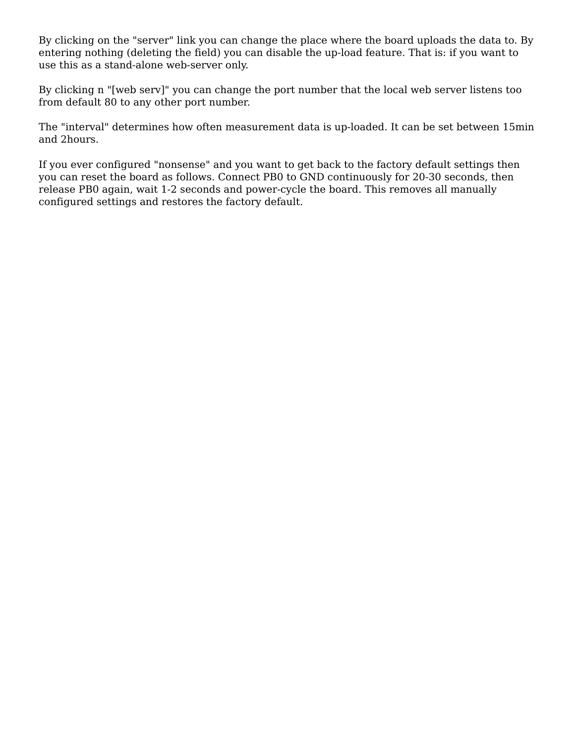By clicking on the "server" link you can change the place where the board uploads the data to. By entering nothing (deleting the field) you can disable the up-load feature. That is: if you want to use this as a stand-alone web-server only.

By clicking n "[web serv]" you can change the port number that the local web server listens too from default 80 to any other port number.

The "interval" determines how often measurement data is up-loaded. It can be set between 15min and 2hours.

If you ever configured "nonsense" and you want to get back to the factory default settings then you can reset the board as follows. Connect PB0 to GND continuously for 20-30 seconds, then release PB0 again, wait 1-2 seconds and power-cycle the board. This removes all manually configured settings and restores the factory default.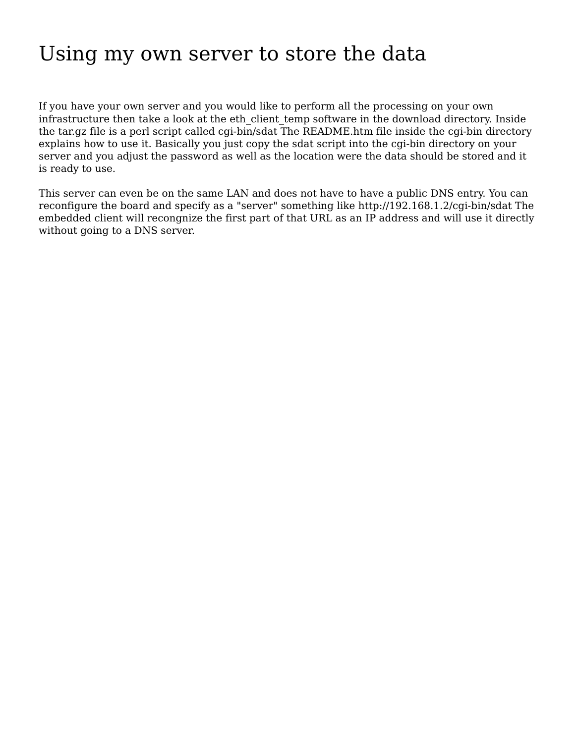### Using my own server to store the data

If you have your own server and you would like to perform all the processing on your own infrastructure then take a look at the eth client temp software in the download directory. Inside the tar.gz file is a perl script called cgi-bin/sdat The README.htm file inside the cgi-bin directory explains how to use it. Basically you just copy the sdat script into the cgi-bin directory on your server and you adjust the password as well as the location were the data should be stored and it is ready to use.

This server can even be on the same LAN and does not have to have a public DNS entry. You can reconfigure the board and specify as a "server" something like http://192.168.1.2/cgi-bin/sdat The embedded client will recongnize the first part of that URL as an IP address and will use it directly without going to a DNS server.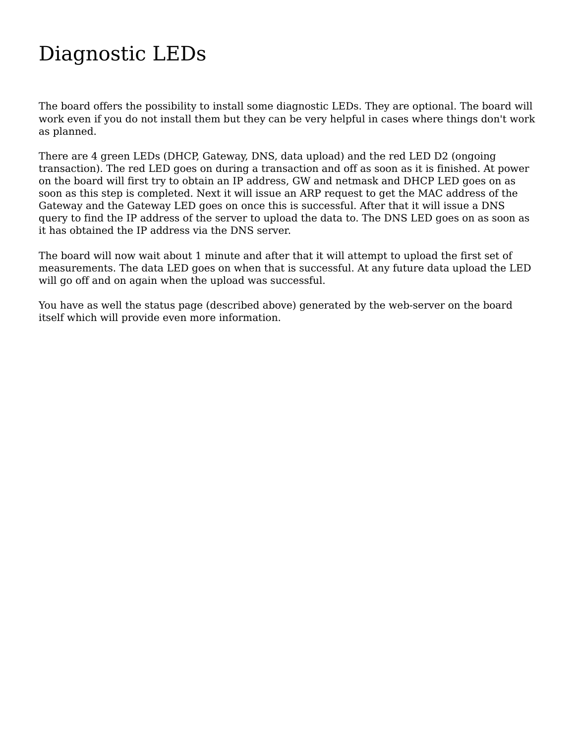## Diagnostic LEDs

The board offers the possibility to install some diagnostic LEDs. They are optional. The board will work even if you do not install them but they can be very helpful in cases where things don't work as planned.

There are 4 green LEDs (DHCP, Gateway, DNS, data upload) and the red LED D2 (ongoing transaction). The red LED goes on during a transaction and off as soon as it is finished. At power on the board will first try to obtain an IP address, GW and netmask and DHCP LED goes on as soon as this step is completed. Next it will issue an ARP request to get the MAC address of the Gateway and the Gateway LED goes on once this is successful. After that it will issue a DNS query to find the IP address of the server to upload the data to. The DNS LED goes on as soon as it has obtained the IP address via the DNS server.

The board will now wait about 1 minute and after that it will attempt to upload the first set of measurements. The data LED goes on when that is successful. At any future data upload the LED will go off and on again when the upload was successful.

You have as well the status page (described above) generated by the web-server on the board itself which will provide even more information.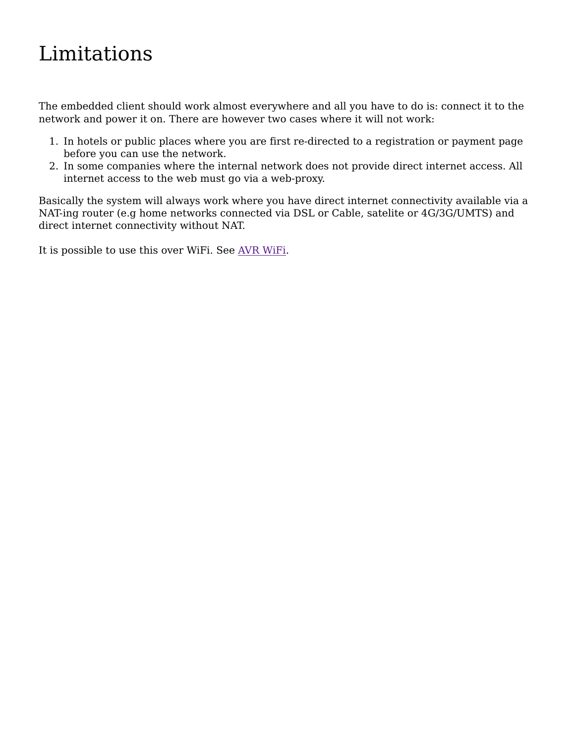## Limitations

The embedded client should work almost everywhere and all you have to do is: connect it to the network and power it on. There are however two cases where it will not work:

- In hotels or public places where you are first re-directed to a registration or payment page 1. before you can use the network.
- In some companies where the internal network does not provide direct internet access. All 2. internet access to the web must go via a web-proxy.

Basically the system will always work where you have direct internet connectivity available via a NAT-ing router (e.g home networks connected via DSL or Cable, satelite or 4G/3G/UMTS) and direct internet connectivity without NAT.

It is possible to use this over WiFi. See AVR WiFi.